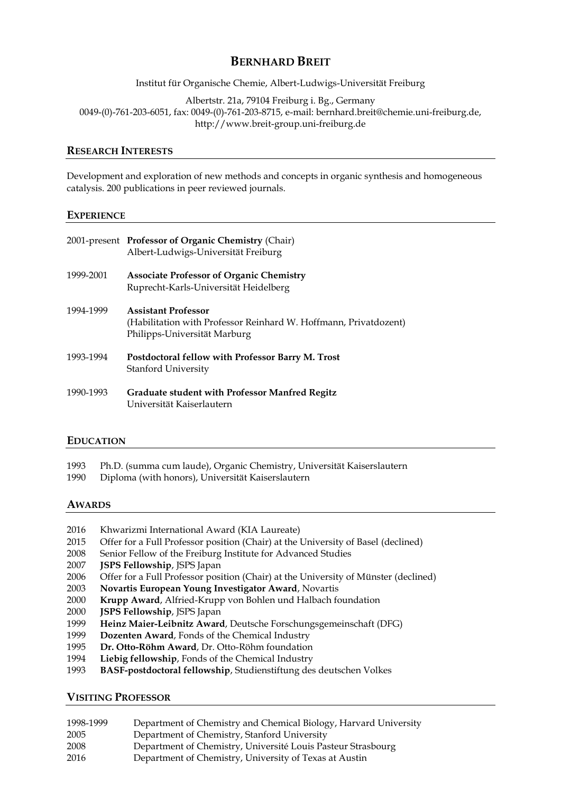# **BERNHARD BREIT**

Institut für Organische Chemie, Albert-Ludwigs-Universität Freiburg

Albertstr. 21a, 79104 Freiburg i. Bg., Germany 0049-(0)-761-203-6051, fax: 0049-(0)-761-203-8715, e-mail: bernhard.breit@chemie.uni-freiburg.de, http://www.breit-group.uni-freiburg.de

### **RESEARCH INTERESTS**

Development and exploration of new methods and concepts in organic synthesis and homogeneous catalysis. 200 publications in peer reviewed journals.

#### **EXPERIENCE**

|           | 2001-present Professor of Organic Chemistry (Chair)<br>Albert-Ludwigs-Universität Freiburg                                     |
|-----------|--------------------------------------------------------------------------------------------------------------------------------|
| 1999-2001 | <b>Associate Professor of Organic Chemistry</b><br>Ruprecht-Karls-Universität Heidelberg                                       |
| 1994-1999 | <b>Assistant Professor</b><br>(Habilitation with Professor Reinhard W. Hoffmann, Privatdozent)<br>Philipps-Universität Marburg |
| 1993-1994 | Postdoctoral fellow with Professor Barry M. Trost<br>Stanford University                                                       |
| 1990-1993 | <b>Graduate student with Professor Manfred Regitz</b><br>Universität Kaiserlautern                                             |

#### **EDUCATION**

1993 Ph.D. (summa cum laude), Organic Chemistry, Universität Kaiserslautern

1990 Diploma (with honors), Universität Kaiserslautern

## **AWARDS**

- 2016 Khwarizmi International Award (KIA Laureate)
- 2015 Offer for a Full Professor position (Chair) at the University of Basel (declined)
- 2008 Senior Fellow of the Freiburg Institute for Advanced Studies
- 2007 **JSPS Fellowship**, JSPS Japan
- 2006 Offer for a Full Professor position (Chair) at the University of Münster (declined)
- 2003 **Novartis European Young Investigator Award**, Novartis
- 2000 **Krupp Award**, Alfried-Krupp von Bohlen und Halbach foundation
- 2000 **JSPS Fellowship**, JSPS Japan
- 1999 **Heinz Maier-Leibnitz Award**, Deutsche Forschungsgemeinschaft (DFG)
- 1999 **Dozenten Award**, Fonds of the Chemical Industry
- 1995 **Dr. Otto-Röhm Award**, Dr. Otto-Röhm foundation
- 1994 **Liebig fellowship**, Fonds of the Chemical Industry
- 1993 **BASF-postdoctoral fellowship**, Studienstiftung des deutschen Volkes

#### **VISITING PROFESSOR**

| 1998-1999 | Department of Chemistry and Chemical Biology, Harvard University |
|-----------|------------------------------------------------------------------|
| 2005      | Department of Chemistry, Stanford University                     |
| 2008      | Department of Chemistry, Université Louis Pasteur Strasbourg     |
| 2016      | Department of Chemistry, University of Texas at Austin           |